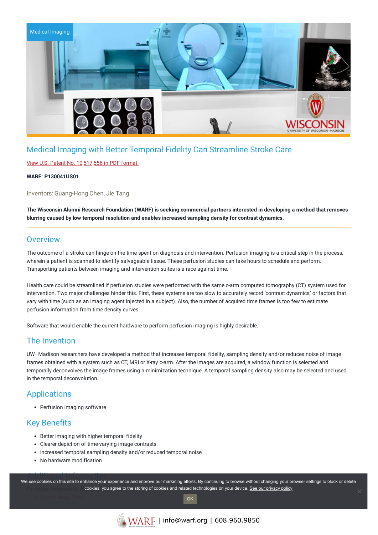

# Medical Imaging with Better Temporal Fidelity Can Streamline Stroke Care

### View U.S. Patent No. [10,517,556](https://www.warf.org/wp-content/uploads/technologies/ipstatus/P130041US01.pdf) in PDF format.

### **WARF: P130041US01**

Inventors: Guang-Hong Chen, Jie Tang

The Wisconsin Alumni Research Foundation (WARF) is seeking commercial partners interested in developing a method that removes **blurring caused by low temporal resolution and enables increased sampling density for contrast dynamics.**

### **Overview**

The outcome of a stroke can hinge on the time spent on diagnosis and intervention. Perfusion imaging is a critical step in the process, wherein a patient is scanned to identify salvageable tissue. These perfusion studies can take hours to schedule and perform. Transporting patients between imaging and intervention suites is a race against time.

Health care could be streamlined if perfusion studies were performed with the same c-arm computed tomography (CT) system used for intervention. Two major challenges hinder this. First, these systems are too slow to accurately record 'contrast dynamics,' or factors that vary with time (such as an imaging agent injected in a subject). Also, the number of acquired time frames is too few to estimate perfusion information from time density curves.

Software that would enable the current hardware to perform perfusion imaging is highly desirable.

## The Invention

UW–Madison researchers have developed a method that increases temporal fidelity, sampling density and/or reduces noise of image frames obtained with a system such as CT, MRI or X-ray c-arm. After the images are acquired, a window function is selected and temporally deconvolves the image frames using a minimization technique. A temporal sampling density also may be selected and used in the temporal deconvolution.

# **Applications**

• Perfusion imaging software

## Key Benefits

- Better imaging with higher temporal fidelity
- Clearer depiction of time-varying image contrasts
- Increased temporal sampling density and/or reduced temporal noise
- No hardware modification

Additional Information We use cookies on this site to enhance your experience and improve our marketing efforts. By continuing to browse without changing your browser settings to block or delete **For More in a bookies, you agree to the storing of cookies and related technologies on your device. [See our privacy policy](https://www.warf.org/privacy-policy/)**